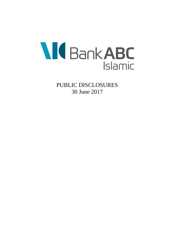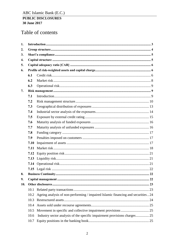# Table of contents

| 1.  |      |                                                                                   |  |
|-----|------|-----------------------------------------------------------------------------------|--|
| 2.  |      |                                                                                   |  |
| 3.  |      |                                                                                   |  |
| 4.  |      |                                                                                   |  |
| 5.  |      |                                                                                   |  |
| 6.  |      |                                                                                   |  |
|     | 6.1  |                                                                                   |  |
|     | 6.2  |                                                                                   |  |
|     | 6.3  |                                                                                   |  |
| 7.  |      |                                                                                   |  |
|     | 7.1  |                                                                                   |  |
|     | 7.2  |                                                                                   |  |
|     | 7.3  |                                                                                   |  |
|     | 7.4  |                                                                                   |  |
|     | 7.5  |                                                                                   |  |
|     | 7.6  |                                                                                   |  |
|     | 7.7  |                                                                                   |  |
|     | 7.8  |                                                                                   |  |
|     | 7.9  |                                                                                   |  |
|     | 7.10 |                                                                                   |  |
|     | 7.11 |                                                                                   |  |
|     | 7.12 |                                                                                   |  |
|     | 7.13 |                                                                                   |  |
|     | 7.14 |                                                                                   |  |
|     |      |                                                                                   |  |
| 8.  |      |                                                                                   |  |
| 9.  |      |                                                                                   |  |
| 10. |      |                                                                                   |  |
|     | 10.1 |                                                                                   |  |
|     | 10.2 | Ageing analysis of non-performing / impaired Islamic financing and securities  24 |  |
|     | 10.3 |                                                                                   |  |
|     | 10.4 |                                                                                   |  |
|     | 10.5 |                                                                                   |  |
|     | 10.6 |                                                                                   |  |
|     | 10.7 |                                                                                   |  |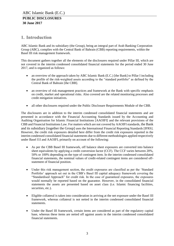# <span id="page-2-0"></span>**1. Introduction**

ABC Islamic Bank and its subsidiary (the Group), being an integral part of Arab Banking Corporation Group (ABC), complies with the Central Bank of Bahrain (CBB) reporting requirements, within the Basel III risk management framework.

This document gathers together all the elements of the disclosures required under Pillar III, which are not covered in the interim condensed consolidated financial statements for the period ended 30 June 2017, and is organized as follows:

- an overview of the approach taken by ABC Islamic Bank (E.C.) [the Bank] to Pillar I including the profile of the risk-weighted assets according to the "standard portfolio" as defined by the Central Bank of Bahrain [the CBB].
- an overview of risk management practices and framework at the Bank with specific emphasis on credit, market and operational risks. Also covered are the related monitoring processes and credit mitigation initiatives.
- all other disclosures required under the Public Disclosure Requirements Module of the CBB.

The disclosures are in addition to the interim condensed consolidated financial statements and are presented in accordance with the Financial Accounting Standards issued by the Accounting and Auditing Organisation for Islamic Financial Institutions [AAOIFI] and the relevant provisions of the CBB and Financial Institutions Law. For matters which are not covered by AAOIFI standards, the Bank and its subsidiary [together the Group] uses the International Financial Reporting Standards [IFRS]. However, the credit risk exposures detailed here differ from the credit risk exposures reported in the interim condensed consolidated financial statements due to different methodologies applied respectively under Basel I1I and AAOIFI, primarily on account of the following:

- As per the CBB Basel III framework, off balance sheet exposures are converted into balance sheet equivalents by applying a credit conversion factor (CCF). The CCF varies between 20%, 50% or 100% depending on the type of contingent item. In the interim condensed consolidated financial statements, the nominal values of credit-related contingent items are considered offstatement of financial position.
- Under this risk management section, the credit exposures are classified as per the 'Standard Portfolio' approach set out in the CBB's Basel III capital adequacy framework covering the "Standardised Approach" for credit risk. In the case of guaranteed exposures, the exposures would normally be reported based on the guarantor. However, in the consolidated financial statements the assets are presented based on asset class (i.e. Islamic financing facilities, securities, etc.).
- Eligible collateral is taken into consideration in arriving at the net exposure under the Basel III framework, whereas collateral is not netted in the interim condensed consolidated financial statements.
- Under the Basel III framework, certain items are considered as part of the regulatory capital base, whereas these items are netted off against assets in the interim condensed consolidated financial statements.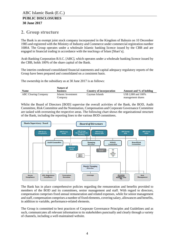# <span id="page-3-0"></span>**2. Group structure**

The Bank is an exempt joint stock company incorporated in the Kingdom of Bahrain on 10 December 1985 and registered with the Ministry of Industry and Commerce under commercial registration number 16864. The Group operates under a wholesale Islamic banking licence issued by the CBB and are engaged in financial trading in accordance with the teachings of Islam [Shari'a].

Arab Banking Corporation B.S.C. [ABC], which operates under a wholesale banking licence issued by the CBB, holds 100% of the share capital of the Bank.

The interim condensed consolidated financial statements and capital adequacy regulatory reports of the Group have been prepared and consolidated on a consistent basis.

The ownership in the subsidiary as at 30 June 2017 is as follows:

|                             | Nature of          |                          |                         |
|-----------------------------|--------------------|--------------------------|-------------------------|
| <b>Name</b>                 | <b>business</b>    | Country of incorporation | Amount and % of holding |
| <b>ABC Clearing Company</b> | Islamic Investment | Cayman Islands           | US\$ 2,000 and 100%     |
|                             | Company            |                          | management shares       |

Whilst the Board of Directors [BOD] supervise the overall activities of the Bank, the BOD, Audit Committee, Risk Committee and the Nomination, Compensation and Corporate Governance Committee are tasked with overseeing the respective areas. The following chart shows the organisational structure of the Bank, including the reporting lines to the various BOD committees.



The Bank has in place comprehensive policies regarding the remuneration and benefits provided to members of the BOD and its committees, senior management and staff. With regard to directors, compensation comprises fixed annual remuneration and related expenses, while for senior management and staff, compensation comprises a number of fixed elements, covering salary, allowances and benefits, in addition to variable, performance-related elements.

The Group is committed to best practices of Corporate Governance Principles and Guidelines and as such, communicates all relevant information to its stakeholders punctually and clearly through a variety of channels, including a well-maintained website.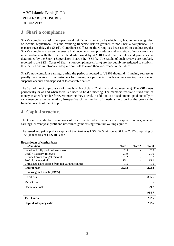# <span id="page-4-0"></span>**3. Shari'a compliance**

Shari'a compliance risk is an operational risk facing Islamic banks which may lead to non-recognition of income, reputational loss and resulting franchise risk on grounds of non-Shari'a compliance. To manage such risks, the Shari'a Compliance Officer of the Group has been tasked to conduct regular Shari'a compliance reviews to ensure that documentation, procedures and execution of transactions are in accordance with the Shari'a Standards issued by AAOIFI and Shari'a rules and principles as determined by the Shari'a Supervisory Board (the "SSB"). The results of such reviews are regularly reported to the SSB. Cases of Shari'a non-compliance (if any) are thoroughly investigated to establish their causes and to introduce adequate controls to avoid their recurrence in the future.

Shari'a non-compliant earnings during the period amounted to US\$62 thousand. It mainly represents penalty fees received from customers for making late payments. Such amounts are kept in a special suspense account and disposed of to charitable causes.

The SSB of the Group consists of three Islamic scholars (Chairman and two members). The SSB meets periodically or as and when there is a need to hold a meeting. The members receive a fixed sum of money as attendance fee for every meeting they attend, in addition to a fixed amount paid annually to each member as remuneration, irrespective of the number of meetings held during the year or the financial results of the Group.

# <span id="page-4-1"></span>**4. Capital structure**

The Group's capital base comprises of Tier 1 capital which includes share capital, reserves, retained earnings, current year profit and unrealized gains arising from fair valuing equities.

The issued and paid-up share capital of the Bank was US\$ 132.5 million at 30 June 2017 comprising of 1,325,000 shares of US\$ 100 each.

| <b>US\$</b> million                                 | Tier 1 | Tier 2 | <b>Total</b> |
|-----------------------------------------------------|--------|--------|--------------|
| Issued and fully paid ordinary shares               | 132.5  |        | 132.5        |
| Legal / statutory reserves                          | 21.9   |        | 21.9         |
| Retained profit brought forward                     | 151.2  |        | 151.2        |
| Profit for the period                               | 15.1   |        | 15.1         |
| Unrealized gains arising from fair valuing equities | 1.5    |        | 1.5          |
| <b>Capital base</b>                                 | 322.2  |        | 322.2        |
| <b>Risk weighted assets [RWA]</b>                   |        |        |              |
| Credit risk                                         |        |        | 855.5        |
| Market risk                                         |        |        |              |
| Operational risk                                    |        |        | 129.2        |
|                                                     |        |        | 984.7        |
| Tier 1 ratio                                        |        |        | 32.7%        |
| Capital adequacy ratio                              |        |        | 32.7%        |

#### **Breakdown of capital base**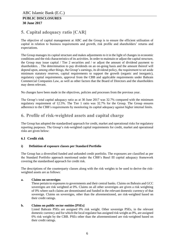# <span id="page-5-0"></span>**5. Capital adequacy ratio [CAR]**

The objective of capital management at ABC and the Group is to ensure the efficient utilisation of capital in relation to business requirements and growth, risk profile and shareholders' returns and expectations.

The Group manages its capital structure and makes adjustments to it in the light of changes in economic conditions and the risk characteristics of its activities. In order to maintain or adjust the capital structure, the Group may issue capital / Tier 2 securities and / or adjust the amount of dividend payment to shareholders. . The determination to pay dividends on an on-going basis and the amount thereof will depend upon, among other things, the Group's earnings, its dividend policy, the requirement to set aside minimum statutory reserves, capital requirements to support the growth (organic and inorganic), regulatory capital requirements, approval from the CBB and applicable requirements under Bahrain Commercial Companies Law, as well as other factors that the Board of Directors and the shareholders may deem relevant.

No changes have been made in the objectives, policies and processes from the previous year.

The Group's total capital adequacy ratio as at 30 June 2017 was 32.7% compared with the minimum regulatory requirement of 12.5%. The Tier 1 ratio was 32.7% for the Group. The Group ensures adherence to the CBB's requirements by monitoring its capital adequacy against higher internal limits.

# <span id="page-5-1"></span>**6. Profile of risk-weighted assets and capital charge**

The Group has adopted the standardised approach for credit, market and operational risks for regulatory reporting purposes. The Group's risk-weighted capital requirements for credit, market and operational risks are given below:

#### <span id="page-5-2"></span>**6.1 Credit risk**

#### **i) Definition of exposure classes per Standard Portfolio**

The Group has a diversified funded and unfunded credit portfolio. The exposures are classified as per the Standard Portfolio approach mentioned under the CBB's Basel III capital adequacy framework covering the standardised approach for credit risk.

The descriptions of the counterparty classes along with the risk weights to be used to derive the riskweighted assets are as follows:

#### **a. Claims on sovereigns**

These pertain to exposures to governments and their central banks. Claims on Bahrain and GCC sovereigns are risk weighted at 0%. Claims on all other sovereigns are given a risk weighting of 0% where such claims are denominated and funded in the relevant domestic currency of that sovereign. Claims on sovereigns, other than the aforementioned, are risk-weighted based on their credit ratings.

#### **b. Claims on public sector entities [PSEs]**

Listed Bahrain PSEs are assigned 0% risk weight. Other sovereign PSEs, in the relevant domestic currency and for which the local regulator has assigned risk weight as 0%, are assigned 0% risk weight by the CBB. PSEs other than the aforementioned are risk-weighted based on their credit ratings.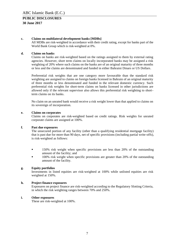#### **c. Claims on multilateral development banks [MDBs]**

All MDBs are risk-weighted in accordance with their credit rating, except for banks part of the World Bank Group which is risk-weighted at 0%.

#### **d. Claims on banks**

Claims on banks are risk-weighted based on the ratings assigned to them by external rating agencies. However, short term claims on locally incorporated banks may be assigned a risk weighting of 20% where such claims on the banks are of an original maturity of three months or less and the claims are denominated and funded in either Bahraini Dinars or US Dollars.

Preferential risk weights that are one category more favourable than the standard risk weighting are assigned to claims on foreign banks licensed in Bahrain of an original maturity of three months or less denominated and funded in the relevant domestic currency. Such preferential risk weights for short-term claims on banks licensed in other jurisdictions are allowed only if the relevant supervisor also allows this preferential risk weighting to shortterm claims on its banks.

No claim on an unrated bank would receive a risk weight lower than that applied to claims on its sovereign of incorporation.

#### **e. Claims on corporates**

Claims on corporates are risk-weighted based on credit ratings. Risk weights for unrated corporate claims are assigned at 100%.

#### **f. Past due exposures**

The unsecured portion of any facility (other than a qualifying residential mortgage facility) that is past due for more than 90 days, net of specific provisions (including partial write-offs), is risk-weighted as follows:

- 150% risk weight when specific provisions are less than 20% of the outstanding amount of the facility; and
- <sup>100%</sup> risk weight when specific provisions are greater than 20% of the outstanding amount of the facility.

#### **g. Equity portfolios**

Investments in listed equities are risk-weighted at 100% while unlisted equities are risk weighted at 150%.

#### **h. Project finance exposures**

Exposures on project finance are risk-weighted according to the Regulatory Slotting Criteria, in which the risk weighting ranges between 70% and 250%.

#### **i. Other exposures**

These are risk-weighted at 100%.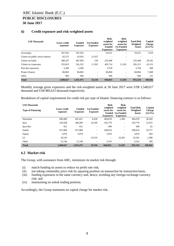| <b>US\$</b> Thousands            | <b>Gross credit</b><br>exposure | <b>Funded</b><br><b>Exposure</b> | <b>Un-Funded</b><br><b>Exposure</b> | Risk-<br>weighted<br>assets for<br><b>Funded</b><br><b>Exposures</b> | Risk-<br>weighted<br>assets for<br><b>Un-Funded</b><br><b>Exposures</b> | <b>Total Risk</b><br>Weighted<br><b>Assets</b> | Capital<br><b>Charge</b><br>$(12.5\%)$ |
|----------------------------------|---------------------------------|----------------------------------|-------------------------------------|----------------------------------------------------------------------|-------------------------------------------------------------------------|------------------------------------------------|----------------------------------------|
| Sovereigns                       | 367,916                         | 367,916                          | -                                   | 59,351                                                               | -                                                                       | 59,351                                         | 7,419                                  |
| Claims on public sector entities | 65,372                          | 43,935                           | 21,437                              |                                                                      |                                                                         |                                                |                                        |
| Claims on banks                  | 408,187                         | 407,969                          | 218                                 | 225,448                                                              | Ξ.                                                                      | 225,448                                        | 28,181                                 |
| Claims on corporates             | 552,823                         | 541,322                          | 11.501                              | 493.714                                                              | 11.501                                                                  | 505,215                                        | 63,152                                 |
| Past due exposures               | 2,500                           | 2,500                            | -                                   | 3,750                                                                | ۰                                                                       | 3.750                                          | 469                                    |
| Project finance                  | 86,863                          | 86,863                           | -                                   | 60,804                                                               | -                                                                       | 60,804                                         | 7,600                                  |
| Other                            | 966                             | 966                              | ۰                                   | 966                                                                  | ۰                                                                       | 966                                            | 121                                    |
| <b>Total</b>                     | 1,484,627                       | 1.451.471                        | 33,156                              | 844,033                                                              | 11.501                                                                  | 855,534                                        | 106.942                                |

#### **ii) Credit exposure and risk-weighted assets**

Monthly average gross exposures and the risk-weighted assets at 30 June 2017 were US\$ 1,548,617 thousand and US\$ 885,615 thousand respectively.

Breakdown of capital requirements for credit risk per type of Islamic financing contract is as follows:

| <b>US\$</b> Thousands    |                                 |                                                                         |                          | Risk-                                                | Risk-                                                          |                                                |                                        |  |
|--------------------------|---------------------------------|-------------------------------------------------------------------------|--------------------------|------------------------------------------------------|----------------------------------------------------------------|------------------------------------------------|----------------------------------------|--|
| <b>Type of Financing</b> | <b>Gross credit</b><br>exposure | <b>Un-Funded</b><br><b>Funded</b><br><b>Exposure</b><br><b>Exposure</b> |                          | weighted<br>assets for<br>Funded<br><b>Exposures</b> | weighted<br>assets for<br><b>Un-Funded</b><br><b>Exposures</b> | <b>Total Risk</b><br>Weighted<br><b>Assets</b> | Capital<br><b>Charge</b><br>$(12.5\%)$ |  |
| Murabaha                 | 609.489                         | 601,051                                                                 | 8,438                    | 464,878                                              | 1,200                                                          | 466,078                                        | 58,260                                 |  |
| Ijara                    | 220,598                         | 206.399                                                                 | 14.199                   | 103,779                                              | ۰.                                                             | 103,779                                        | 12,972                                 |  |
| Ijara Rec                | 921                             | 921                                                                     | $\overline{\phantom{a}}$ | 499                                                  | ۰                                                              | 499                                            | 62                                     |  |
| Sukuk                    | 627.884                         | 627,884                                                                 | $\overline{\phantom{a}}$ | 268,616                                              | ۰.                                                             | 268,616                                        | 33,577                                 |  |
| Equity                   | 3,070                           | 3,070                                                                   | ٠                        | 3,070                                                | ۰                                                              | 3,070                                          | 384                                    |  |
| LC                       | 10.519                          | $\overline{\phantom{a}}$                                                | 10.519                   | $\overline{\phantom{a}}$                             | 10.301                                                         | 10.301                                         | 1,288                                  |  |
| Other                    | 12.146                          | 12.146                                                                  | ٠                        | 3,191                                                |                                                                | 3,191                                          | 399                                    |  |
| <b>Total</b>             | 1.484,627                       | 1,451,471                                                               | 33,156                   | 844,033                                              | 11,501                                                         | 855,534                                        | 106,942                                |  |

#### <span id="page-7-0"></span>**6.2 Market risk**

The Group, with assistance from ABC, minimizes its market risk through:

- (i) match-funding its assets to reduce its profit rate risk;
- (ii) not taking commodity price risk by squaring position on transaction by transaction basis;
- (iii) funding exposures in the same currency and, hence, avoiding any foreign exchange currency risk; and
- (iv) maintaining no sukuk trading position.

Accordingly, the Group maintains no capital charge for market risk.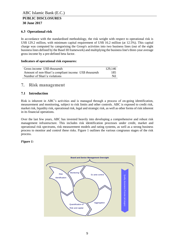#### <span id="page-8-0"></span>**6.3 Operational risk**

In accordance with the standardised methodology, the risk weight with respect to operational risk is US\$ 129.2 million, with minimum capital requirement of US\$ 16.2 million (at 12.5%). This capital charge was computed by categorising the Group's activities into two business lines (out of the eight business lines defined by the Basel III framework) and multiplying the business line's three-year average gross income by a pre-defined beta factor.

#### **Indicators of operational risk exposures:**

| Gross income US\$ thousands                           | 129.146 |
|-------------------------------------------------------|---------|
| Amount of non-Shari'a compliant income US\$ thousands | 185     |
| Number of Shari'a violations                          | Ni1     |

# <span id="page-8-1"></span>**7. Risk management**

#### <span id="page-8-2"></span>**7.1 Introduction**

Risk is inherent in ABC's activities and is managed through a process of on-going identification, measurement and monitoring, subject to risk limits and other controls. ABC is exposed to credit risk, market risk, liquidity risk, operational risk, legal and strategic risk, as well as other forms of risk inherent in its financial operations.

Over the last few years, ABC has invested heavily into developing a comprehensive and robust risk management infrastructure. This includes risk identification processes under credit, market and operational risk spectrums, risk measurement models and rating systems, as well as a strong business process to monitor and control these risks. Figure 1 outlines the various congruous stages of the risk process.

#### *Figure 1:*

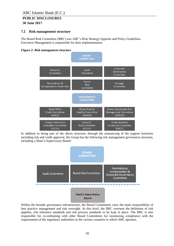# **PUBLIC DISCLOSURES**

**30 June 2017**

#### <span id="page-9-0"></span>**7.2 Risk management structure**

The Board Risk Committee (BRC) sets ABC's Risk Strategy/Appetite and Policy Guidelines. Executive Management is responsible for their implementation.

#### *Figure 2: Risk management structure*



In addition to being part of the above structure, through the outsourcing of the support functions including risk and credit approval, the Group has the following risk management governance structure, including a Shari'a Supervisory Board:



Within the broader governance infrastructure, the Board Committees carry the main responsibility of best practice management and risk oversight. At this level, the BRC oversees the definition of risk appetite, risk tolerance standards and risk process standards to be kept in place. The BRC is also responsible for co-ordinating with other Board Committees for monitoring compliance with the requirements of the regulatory authorities in the various countries in which ABC operates.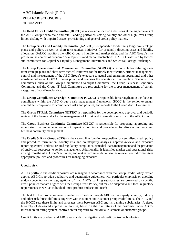The **Head Office Credit Committee (HOCC)** is responsible for credit decisions at the higher levels of the ABC Group's wholesale and retail lending portfolios, setting country and other high-level Group limits, dealing with impaired assets, provisioning and general credit policy matters.

The **Group Asset and Liability Committee (GALCO)** is responsible for defining long-term strategic plans and policy, as well as short-term tactical initiatives for prudently directing asset and liability allocation. GALCO monitors the ABC Group's liquidity and market risks, and the ABC Group's risk profile in the context of economic developments and market fluctuations. GALCO is assisted by tactical sub-committees for Capital & Liquidity Management, Investments and Structural Foreign Exchange.

The **Group Operational Risk Management Committee (GORCO)** is responsible for defining longterm strategic plans and short-term tactical initiatives for the timely identification, prudent management, control and measurement of the ABC Group's exposure to actual and emerging operational and other non-financial risks. GORCO frames policy and oversees the operational risk function. Specialist risk committees, such as the Group Compliance Oversight Committee, the Group Business Continuity Committee and the Group IT Risk Committee are responsible for the proper management of certain categories of non-financial risk.

The **Group Compliance Oversight Committee (GCOC)** is responsible for strengthening the focus on compliance within the ABC Group's risk management framework. GCOC is the senior oversight committee Group-wide for compliance risks and policies, and reports to the Group Audit Committee.

The **Group IT Risk Committee (GITRC)** is responsible for the development, approval and periodic review of the frameworks for the management of IT risk and information security in the ABC Group.

The **Group Business Continuity Committee (GBCC)** is responsible for proposing, approving and monitoring the implementation of Group-wide policies and procedures for disaster recovery and business continuity management.

The **Credit & Risk Group (CRG)** is the second line function responsible for centralised credit policy and procedure formulation, country risk and counterparty analysis, approval/review and exposure reporting, control and risk-related regulatory compliance, remedial loans management and the provision of analytical resources to senior management. Additionally, it identifies market and operational risks arising from the ABC Group's activities, and makes recommendations to the relevant central committees appropriate policies and procedures for managing exposure.

#### **Credit risk**

ABC's portfolio and credit exposures are managed in accordance with the Group Credit Policy, which applies ABC Group-wide qualitative and quantitative guidelines, with particular emphasis on avoiding undue concentrations or aggregations of risk. ABC's banking subsidiaries are governed by specific credit policies that are aligned with the Group Credit Policy, but may be adapted to suit local regulatory requirements as well as individual units' product and sectoral needs.

The first level of protection against undue credit risk is through ABC's counterparty, country, industry and other risk threshold limits, together with customer and customer group credit limits. The BRC and the HOCC sets these limits and allocates them between ABC and its banking subsidiaries. A tiered hierarchy of delegated approval authorities, based on the risk rating of the customer under ABC's internal credit rating system, controls credit exposure to individual customers or customer groups.

Credit limits are prudent, and ABC uses standard mitigation and credit control technologies.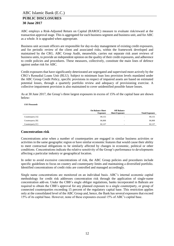ABC employs a Risk-Adjusted Return on Capital (RAROC) measure to evaluate risk/reward at the transaction approval stage. This is aggregated for each business segment and business unit, and for ABC as a whole. It is upgraded when appropriate.

Business unit account officers are responsible for day-to-day management of existing credit exposures, and for periodic review of the client and associated risks, within the framework developed and maintained by the CRG. ABC Group Audit, meanwhile, carries out separate risk asset reviews of business units, to provide an independent opinion on the quality of their credit exposures, and adherence to credit policies and procedures. These measures, collectively, constitute the main lines of defence against undue risk for ABC.

Credit exposures that have significantly deteriorated are segregated and supervised more actively by the CRG's Remedial Loans Unit (RLU). Subject to minimum loan loss provision levels mandated under the ABC Group Credit Policy, specific provisions in respect of impaired assets are based on estimated potential losses, through a quarterly portfolio review and adequacy of provisioning exercise. A collective impairment provision is also maintained to cover unidentified possible future losses.

As at 30 June 2017, the Group's three largest exposures in excess of 15% of the capital base are shown below:

*US\$ Thousands*

|                    | <b>On Balance Sheet</b><br><b>Exposure</b> | <b>Off Balance</b><br><b>Sheet Exposure</b> | <b>Total Exposure</b> |
|--------------------|--------------------------------------------|---------------------------------------------|-----------------------|
| Counterparty $[A]$ | 89,155                                     | $\overline{\phantom{a}}$                    | 89,155                |
| Counterparty [B]   | 86,808                                     | -                                           | 86,808                |
| Counterparty [C]   | 82.137                                     |                                             | 82,137                |

#### **Concentration risk**

Concentrations arise when a number of counterparties are engaged in similar business activities or activities in the same geographic region or have similar economic features that would cause their ability to meet contractual obligations to be similarly affected by changes in economic, political or other conditions. Concentrations indicate the relative sensitivity of the Group's performance to developments affecting a particular industry or geographical location.

In order to avoid excessive concentrations of risk, the ABC Group policies and procedures include specific guidelines to focus on country and counterparty limits and maintaining a diversified portfolio. Identified concentrations of credit risks are controlled and managed accordingly.

Single name concentrations are monitored on an individual basis. ABC's internal economic capital methodology for credit risk addresses concentration risk through the application of single-name concentration add-on. Under the CBB's single obligor regulations, banks incorporated in Bahrain are required to obtain the CBB's approval for any planned exposure to a single counterparty, or group of connected counterparties exceeding 15 percent of the regulatory capital base. This restriction applies only at the consolidated level of the ABC Group and, hence, the Bank has several exposures that exceed 15% of its capital base. However, none of these exposures exceed 15% of ABC's capital base.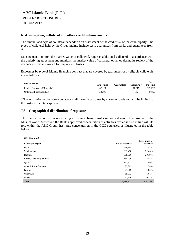#### **Risk mitigation, collateral and other credit enhancements**

The amount and type of collateral depends on an assessment of the credit risk of the counterparty. The types of collateral held by the Group mainly include cash, guarantees from banks and guarantees from ABC.

Management monitors the market value of collateral, requests additional collateral in accordance with the underlying agreement and monitors the market value of collateral obtained during its review of the adequacy of the allowance for impairment losses.

Exposures by type of Islamic financing contract that are covered by guarantees or by eligible collaterals are as follows:

| <b>US\$</b> thousands       |                  |                          |             | <b>Net</b> |
|-----------------------------|------------------|--------------------------|-------------|------------|
|                             | <b>Exposures</b> | Guaranteed               | Collateral* | exposure   |
| Funded Exposures (Murabaha) | 62.128           | $\overline{\phantom{a}}$ | 77.816      | 15.688)    |
| Unfunded Exposures (LC)     | 28.291           | $\overline{\phantom{a}}$ | 435         | 27,856     |

\* The utilization of the above collaterals will be on a customer by customer basis and will be limited to the customer's total exposure.

#### <span id="page-12-0"></span>**7.3 Geographical distribution of exposures**

The Bank's nature of business, being an Islamic bank, results in concentration of exposures in the Muslim world. Moreover, the Bank's approved concentration of activities, which is also in line with its role within the ABC Group, has large concentration in the GCC countries, as illustrated in the table below:

#### *US\$ Thousands*

| <b>Country / Region</b>   | Gross exposure | Percentage of<br>exposure |
|---------------------------|----------------|---------------------------|
|                           |                |                           |
| <b>UAE</b>                | 468,368        | 31.55%                    |
| Saudi Arabia              | 333,498        | 22.46%                    |
| Bahrain                   | 308,600        | 20.79%                    |
| Europe (Including Turkey) | 184,799        | 12.45%                    |
| Qatar                     | 112,672        | 7.59%                     |
| Other MENA Countries      | 23,399         | 1.58%                     |
| Kuwait                    | 27,089         | 1.82%                     |
| Other Asia                | 15,072         | 1.01%                     |
| Oman                      | 11,130         | 0.75%                     |
| <b>Total</b>              | 1,484,627      | 100.00%                   |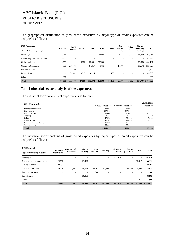The geographical distribution of gross credit exposures by major type of credit exposures can be analysed as follows:

| <b>US\$</b> Thousands             | <b>Bahrain</b>           | Saudi   | Kuwait | Oatar   | <b>UAE</b> | Oman                     | Other<br><b>MENA</b> | Other  | <b>Europe</b><br>(Including) | <b>Total</b>      |
|-----------------------------------|--------------------------|---------|--------|---------|------------|--------------------------|----------------------|--------|------------------------------|-------------------|
| <b>Type of Financing / Region</b> |                          | Arabia  |        |         |            |                          | countries            | Asia   | Turkey)                      |                   |
| Sovereigns                        | 143,034                  |         |        | $\sim$  | 157,995    | ٠                        | 6,176                | 15,072 | 45,639                       | 367,916           |
| Claims on public sector entities  | 65,372                   | -       |        |         |            | ٠                        |                      |        | $\sim$                       | 65,372            |
| Claims on banks                   | 63,658                   | $\sim$  | 14,072 | 22.091  | 238,560    | $\overline{\phantom{a}}$ | 218                  | ۰      | 69,588                       | 408,187           |
| Claims on Corporates              | 35,570                   | 274,406 | ٠      | 84,457  | 71,813     | ٠                        | 17,005               | ۰      | 69,572                       | 552,823           |
| Past due exposures                | $\overline{\phantom{a}}$ | 2,500   |        |         |            |                          |                      |        | $\overline{\phantom{a}}$     | 2,500             |
| Project finance                   | ٠                        | 56,592  | 13.017 | 6,124   | $\sim$     | 11,130                   | -                    |        | ٠                            | 86,863            |
| Other                             | 966                      |         |        |         |            |                          |                      |        | $\overline{\phantom{a}}$     | 966               |
| <b>Total</b>                      | 308,600                  | 333,498 | 27.089 | 112,672 | 468.368    | 11.130                   | 23.399               | 15,072 |                              | 184,799 1.484,627 |

#### <span id="page-13-0"></span>**7.4 Industrial sector analysis of the exposures**

The industrial sector analysis of exposures is as follows:

| <b>US\$</b> Thousands         |                       |                        | <b>Un-funded</b> |
|-------------------------------|-----------------------|------------------------|------------------|
|                               | <b>Gross exposure</b> | <b>Funded exposure</b> | exposure         |
| <b>Financial Institutions</b> | 582,881               | 582,663                | 218              |
| Government                    | 367,916               | 367,916                |                  |
| Manufacturing                 | 209,040               | 192,863                | 16,177           |
| Trading                       | 157,347               | 152,137                | 5,210            |
| Other                         | 47.528                | 39,698                 | 7,830            |
| Construction                  | 46,767                | 43,046                 | 3.721            |
| <b>Commercial Real Estate</b> | 37.539                | 37,539                 |                  |
| Transportation                | 35,609                | 35,609                 |                  |
| <b>Total</b>                  | 1,484,627             | 1,451,471              | 33,156           |

The industrial sector analysis of gross credit exposures by major types of credit exposures can be analysed as follows:

| <b>US\$</b> Thousands             | <b>Financial</b>    | Commercial               | Manu-                    | Con-      | <b>Trading</b> | Govern- | Trans-    | Other  | Total     |
|-----------------------------------|---------------------|--------------------------|--------------------------|-----------|----------------|---------|-----------|--------|-----------|
| <b>Type of Financing/Industry</b> | <b>Institutions</b> | real estate              | facturing                | struction |                | ment    | portation |        |           |
| Sovereigns                        |                     | ۰                        |                          |           | ٠              | 367,916 |           | ۰      | 367,916   |
| Claims on public sector entities  | 24,986              | $\overline{\phantom{a}}$ | 23,469                   | ۰         |                |         | ٠         | 16,917 | 65,372    |
| Claims on banks                   | 408,187             | $\overline{\phantom{a}}$ |                          |           | ۰              | ۰       |           | ٠      | 408,187   |
| Claims on Corporates              | 149,708             | 37,539                   | 98.708                   | 44.267    | 157,347        | ۰       | 35,609    | 29,645 | 552,823   |
| Past due exposures                |                     |                          | $\overline{\phantom{a}}$ | 2,500     | ۰              |         |           | ۰      | 2,500     |
| Project finance                   | ٠                   | $\sim$                   | 86,863                   | ٠         | ٠              |         | -         | ٠      | 86,863    |
| Other                             | ۰                   | ۰                        | ۰                        | ۰         | ۰              |         | ۰         | 966    | 966       |
| <b>Total</b>                      | 582,881             | 37,539                   | 209,040                  | 46,767    | 157,347        | 367,916 | 35,609    | 47,528 | 1.484,627 |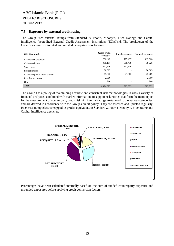# **PUBLIC DISCLOSURES**

#### **30 June 2017**

#### <span id="page-14-0"></span>**7.5 Exposure by external credit rating**

The Group uses external ratings from Standard & Poor's, Moody's, Fitch Ratings and Capital Intelligence [accredited External Credit Assessment Institutions (ECAI's)]. The breakdown of the Group's exposure into rated and unrated categories is as follows:

| <b>US\$</b> Thousands            | <b>Gross credit</b><br>exposure | Rated exposure | <b>Unrated exposure</b> |
|----------------------------------|---------------------------------|----------------|-------------------------|
| Claims on Corporates             | 552,823                         | 119,297        | 433,526                 |
| Claims on banks                  | 408,187                         | 368,459        | 39,728                  |
| Sovereigns                       | 367,916                         | 367,916        |                         |
| Project finance                  | 86,863                          |                | 86,863                  |
| Claims on public sector entities | 65,372                          | 41,903         | 23,469                  |
| Past due exposures               | 2,500                           |                | 2,500                   |
| Other                            | 966                             | -              | 966                     |
| <b>Total</b>                     | 1,484,627                       | 897,575        | 587,052                 |

The Group has a policy of maintaining accurate and consistent risk methodologies. It uses a variety of financial analytics, combined with market information, to support risk ratings that form the main inputs for the measurement of counterparty credit risk. All internal ratings are tailored to the various categories, and are derived in accordance with the Group's credit policy. They are assessed and updated regularly. Each risk rating class is mapped to grades equivalent to Standard & Poor's, Moody's, Fitch rating and Capital Intelligence agencies.



Percentages have been calculated internally based on the sum of funded counterparty exposure and unfunded exposures before applying credit conversion factors.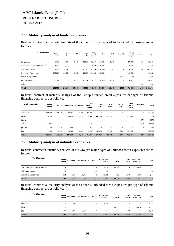#### <span id="page-15-0"></span>**7.6 Maturity analysis of funded exposures**

Residual contractual maturity analysis of the Group's major types of funded credit exposures are as follows:

| <b>US\$ Thousands</b>            | Within<br>1 month | $1-3$<br>months          | $3-6$<br>months          | $6 - 12$<br>months | <b>Total</b><br>within 12<br>months | $1 - 5$<br>vears | $5 - 10$<br>years        | Over 20<br>years         | <b>Total</b><br>over 12<br>months | <b>Undated</b> | <b>Total</b> |
|----------------------------------|-------------------|--------------------------|--------------------------|--------------------|-------------------------------------|------------------|--------------------------|--------------------------|-----------------------------------|----------------|--------------|
| Sovereigns                       | 6,176             | 68,591                   | 6,250                    | 12,500             | 93,517                              | 155,181          | 119,165                  | ٠                        | 274,346                           | 53             | 367,916      |
| Claims on public sector entities | 2,433             | 16,516                   |                          | $\sim$             | 18,949                              | 24,986           |                          | $\overline{\phantom{a}}$ | 24,986                            | $\sim$         | 43,935       |
| Claims on banks                  | 89,726            | 96,667                   | $\overline{\phantom{a}}$ | 15,145             | 201,538                             | 201,599          | 1,762                    | $\overline{\phantom{a}}$ | 203,361                           | 3,070          | 407,969      |
| Claims on Corporates             | 153,614           | 100,361                  | 119.635                  | 10,683             | 384,293                             | 157,029          | ۰                        | $\overline{\phantom{a}}$ | 157,029                           | $\sim$         | 541,322      |
| Past due exposures               |                   |                          |                          |                    |                                     |                  | $\overline{\phantom{a}}$ | 2,500                    | 2,500                             | ٠              | 2,500        |
| Project finance                  | 1,017             | $\overline{\phantom{a}}$ | 9,183                    | 10,251             | 20,451                              | 57,674           | 8,738                    | $\overline{\phantom{a}}$ | 66,412                            | $\sim$         | 86,863       |
| Other                            | ۰                 |                          |                          |                    |                                     |                  |                          |                          |                                   | 966            | 966          |
| <b>Total</b>                     | 252,966           | 282,135                  | 135,068                  | 48,579             | 718,748                             | 596,469          | 129,665                  | 2,500                    | 728,634                           | 4,089          | 1,451,471    |

Residual contractual maturity analysis of the Group's funded credit exposures per type of Islamic financing contract are as follows:

| <b>US\$</b> Thousands | Within<br>1 month | 1-3 months               |         | 3-6 months 6-12 months   | <b>Total</b><br>within 12<br>months | $1 - 5$<br>vears | $5 - 10$<br>vears | Over 20<br>years | <b>Total</b><br>over 12<br>months | Undated                  | <b>Total</b> |
|-----------------------|-------------------|--------------------------|---------|--------------------------|-------------------------------------|------------------|-------------------|------------------|-----------------------------------|--------------------------|--------------|
| Murabaha              | 236,734           | 266,236                  | 88,541  | 9,540                    | 601,051                             |                  |                   |                  |                                   | $\overline{\phantom{a}}$ | 601,051      |
| Sukuk                 | 4,088             | $\overline{\phantom{a}}$ | 30,169  | 15,145                   | 49,402                              | 457,555          | 120,927           | $\sim$           | 578,482                           | $\overline{\phantom{a}}$ | 627,884      |
| Equity                | -                 |                          |         |                          |                                     |                  |                   |                  | ٠                                 | 3,070                    | 3,070        |
| Other                 | 11,127            |                          | ۰       | $\sim$                   | 11,127                              | -                |                   |                  | $\sim$                            | 1,019                    | 12,146       |
| Ijara Rec             | 84                | 424                      | 413     | $\overline{\phantom{a}}$ | 921                                 |                  |                   |                  | ٠                                 | $\overline{\phantom{a}}$ | 921          |
| Ijara                 | 933               | 15,475                   | 15,945  | 23,894                   | 56,247                              | 138,914          | 8,738             | 2,500            | 150,152                           | $\overline{\phantom{a}}$ | 206,399      |
| <b>Total</b>          | 252,966           | 282,135                  | 135,068 | 48,579                   | 718,748                             | 596,469          | 129,665           | 2,500            | 728,634                           | 4,089                    | 1,451,471    |

#### <span id="page-15-1"></span>**7.7 Maturity analysis of unfunded exposures**

Residual contractual maturity analysis of the Group's major types of unfunded credit exposures are as follows:

| <b>US\$</b> Thousands            | Within<br>1 month        | 1-3 months               |                          | 3-6 months 6-12 months | <b>Total within</b><br>12 months | $1 - 5$<br>vears | $5-10$<br>vears          | <b>Total Over</b><br>12 months | <b>Total</b> |
|----------------------------------|--------------------------|--------------------------|--------------------------|------------------------|----------------------------------|------------------|--------------------------|--------------------------------|--------------|
| Claims on public sector entities | $\overline{\phantom{a}}$ | $\overline{\phantom{a}}$ | $\overline{\phantom{a}}$ | 7,238                  | 7,238                            | 14.199           | $\overline{\phantom{a}}$ | 14.199                         | 21,437       |
| Claims on banks                  | 75                       | -                        | $\overline{\phantom{a}}$ | 143                    | 218                              | -                | ۰                        | $\overline{\phantom{a}}$       | 218          |
| Claims on Corporates             | 862                      | 5.540                    | 3.760                    | 63                     | 10.225                           | 132              | 1.144                    | 1.276                          | 11,501       |
| <b>Total</b>                     | 937                      | 5,540                    | 3,760                    | 7,444                  | 17,681                           | 14,331           | 1,144                    | 15,475                         | 33,156       |

Residual contractual maturity analysis of the Group's unfunded credit exposures per type of Islamic financing contract are as follows:

| <b>US\$</b> Thousands | Within<br>l month        | 1-3 months               |                          | 3-6 months 6-12 months   | <b>Total within</b><br>12 months | $1 - 5$<br>vears | $5-10$<br>vears          | <b>Total over</b><br>12 months | <b>Total</b> |
|-----------------------|--------------------------|--------------------------|--------------------------|--------------------------|----------------------------------|------------------|--------------------------|--------------------------------|--------------|
| Murabaha              | $\overline{\phantom{a}}$ | 1.200                    | $\overline{\phantom{a}}$ | 7,238                    | 8,438                            | -                | ۰                        | <b>.</b>                       | 8,438        |
| Ijara                 | $\overline{\phantom{a}}$ | $\overline{\phantom{a}}$ | $\overline{\phantom{a}}$ | $\overline{\phantom{0}}$ | $\sim$                           | 14,199           | $\overline{\phantom{a}}$ | 14,199                         | 14,199       |
| LC                    | 937                      | 4,340                    | 3,760                    | 206                      | 9,243                            | 132              | 1,144                    | 1,276                          | 10,519       |
| <b>Total</b>          | 937                      | 5,540                    | 3,760                    | 7,444                    | 17,681                           | 14,331           | 1,144                    | 15,475                         | 33,156       |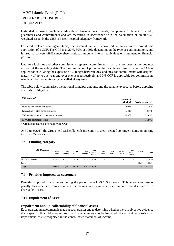Unfunded exposures include credit-related financial instruments, comprising of letters of credit, guarantees and commitments and are measured in accordance with the calculation of credit riskweighted assets in the CBB's Basel II capital adequacy framework.

For credit-related contingent items, the nominal value is converted to an exposure through the application of a CCF. The CCF is at 20%, 50% or 100% depending on the type of contingent item, and is used to convert off-Balance sheet notional amounts into an equivalent on-statement of financial position.

Undrawn facilities and other commitments represent commitments that have not been drawn down or utilised at the reporting date. The nominal amount provides the calculation base to which a CCF is applied for calculating the exposure. CCF ranges between 20% and 50% for commitments with original maturity of up to one year and over one year respectively and 0% CCF is applicable for commitments which can be unconditionally cancelled at any time.

The table below summarises the notional principal amounts and the relative exposures before applying credit risk mitigation:

| <b>US\$</b> thousands                    | <b>Notional</b><br>principal | Credit exposure* |
|------------------------------------------|------------------------------|------------------|
| Trade-related contingent items           | 12,091                       | 2,418            |
| Transaction-related contingent items     | 16.200                       | 8,100            |
| Undrawn facilities and other commitments | 48.873                       | 22,637           |
| <b>RWA</b> for contingent items          |                              | 11,501           |

\* Credit exposure is after applying CCF.

At 30 June 2017, the Group held cash collaterals in relation to credit-related contingent items amounting to US\$ 435 thousand.

#### <span id="page-16-0"></span>**7.8 Funding category**

|                   | <b>US\$ Thousands</b> | Within<br>1 month        | $1-3$<br>months          | $3-6$<br>months | $6 - 12$<br>months       | Total<br>within 12<br>months | $1-5$<br>vears           | $5 - 10$<br>vears        | Over 20<br>years         | Total<br>over 12<br>months | <b>Undated</b> | <b>Total</b> |
|-------------------|-----------------------|--------------------------|--------------------------|-----------------|--------------------------|------------------------------|--------------------------|--------------------------|--------------------------|----------------------------|----------------|--------------|
| Murabaha payables |                       | 432,458                  | 619.177                  | 56,556          |                          | 2,369 1,110,560              | $\overline{\phantom{a}}$ | $\overline{\phantom{0}}$ | $\overline{\phantom{a}}$ | $\overline{\phantom{0}}$   | $\sim$         | 1,110,560    |
| Equity            |                       | $\overline{\phantom{a}}$ | $\overline{\phantom{a}}$ |                 | $\overline{\phantom{a}}$ | ٠                            | $\sim$                   | $\overline{\phantom{a}}$ |                          |                            | 322,194        | 322,194      |
| <b>Total</b>      |                       | 432,458                  | 619,177                  | 56,556          |                          | 2,369 1,110,560              |                          | $\overline{\phantom{a}}$ |                          | $\blacksquare$             | 322,194        | 1,432,754    |

#### <span id="page-16-1"></span>**7.9 Penalties imposed on customers**

Penalties imposed on customers during the period were US\$ 185 thousand. This amount represents penalty fees received from customers for making late payments. Such amounts are disposed of to charitable causes.

#### <span id="page-16-2"></span>**7.10 Impairment of assets**

#### **Impairment and un-collectability of financial assets**

Each quarter, an assessment is made at each quarter end to determine whether there is objective evidence that a specific financial asset or group of financial assets may be impaired. If such evidence exists, an impairment loss is recognised in the consolidated statement of income.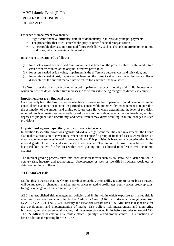Evidence of impairment may include:

- Significant financial difficulty, default or delinquency in interest or principal payments
- The probability that it will enter bankruptcy or other financial reorganisation
- A measurable decrease in estimated future cash flows, such as changes in arrears or economic conditions, which correlate with defaults.

Impairment is determined as follows:

- (a) for assets carried at amortised cost, impairment is based on the present value of estimated future cash flows discounted at the original effective profit rate;
- (b) for assets carried at fair value, impairment is the difference between cost and fair value; and
- (c) for assets carried at cost, impairment is based on the present value of estimated future cash flows discounted at the current market rate of return for a similar financial asset.

The Group uses the provision account to record impairments except for equity and similar investments, which are written down, with future increases in their fair value being recognised directly in equity.

#### **Impairment losses on financial assets**

On a quarterly basis the Group assesses whether any provision for impairment should be recorded in the consolidated statement of income. In particular, considerable judgment by management is required in the estimation of the amount and timing of future cash flows when determining the level of provision required. Such estimates are necessarily based on assumptions about several factors involving varying degrees of judgment and uncertainty, and actual results may differ resulting in future changes in such provisions.

#### **Impairment against specific groups of financial assets**

In addition to specific provisions against individually significant facilities and investments, the Group also makes a provision to cover impairment against specific group of financial assets where there is a measurable decrease in estimated future cash flows. This provision is based on any deterioration in the internal grade of the financial asset since it was granted. The amount of provision is based on the historical loss pattern for facilities within each grading and is adjusted to reflect current economic changes.

The internal grading process takes into consideration factors such as collateral held, deterioration in country risk, industry and technological obsolescence, as well as identified structural weakness or deterioration in cash flows.

#### <span id="page-17-0"></span>**7.11 Market risk**

Market risk is the risk that the Group's earnings or capital, or its ability to support its business strategy, will be impacted by changes in market rates or prices related to profit rates, equity prices, credit spreads, foreign exchange rates and commodity prices.

ABC has established risk management policies and limits within which exposure to market risk is measured, monitored and controlled by the Credit Risk Group [CRG] with strategic oversight exercised by ABC's GALCO. The CRG's Treasury and Financial Market Risk [T&FMR] unit is responsible for the development and implementation of market risk policy, risk measurement and monitoring framework, and the review of all trading and investment products/ limits before submission to GALCO. The T&FMR includes market risk, middle office, liquidity risk and product control. This function also has an additional reporting line to GCFO.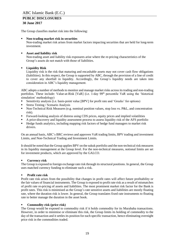The Group classifies market risk into the following:

**Non-trading market risk in securities**

Non-trading market risk arises from market factors impacting securities that are held for long-term investment.

**Asset and liability risk**

Non-trading asset and liability risk exposures arise where the re-pricing characteristics of the Group's assets do not match with those of liabilities.

#### **Liquidity Risk**

Liquidity risk is the risk that maturing and encashable assets may not cover cash flow obligations (liabilities). In this respect, the Group is supported by ABC, through the provision of a line of credit to cover any shortfall in liquidity. Accordingly, the Group's liquidity needs are taken into consideration in ABC's liquidity management.

ABC adopts a number of methods to monitor and manage market risks across its trading and non-trading portfolios. These include: Value-at-Risk [VaR] (i.e. 1-day 99<sup>th</sup> percentile VaR using the 'historical simulation' methodology)

- Sensitivity analysis (i.e. basis-point value [BPV] for profit rate and 'Greeks' for options)
- Stress Testing / Scenario Analysis
- Non-Technical Risk Measures (e.g. nominal position values, stop loss vs. P&L, and concentration risk).
- Forward-looking analysis of distress using CDS prices, equity prices and implied volatilities
- A price-discovery and liquidity assessment process to assess liquidity risk of the AFS portfolio
- Hedge funds analytics, including mapping risk factors of hedge fund managers to market risk drivers.

On an annual basis, ABC's BRC reviews and approves VaR trading limits, BPV trading and investment Limits, and Non-Technical Trading and Investment Limits.

It should be noted that the Group applies BPV on the sukuk portfolio and the non-technical risk measures in its liquidity management at the Group level. For the non-technical measures, notional limits are set for investment products, which are approved by the GALCO.

#### **Currency risk**

The Group is exposed to foreign exchange rate risk through its structural positions. In general, the Group uses matched currency funding to eliminate such a risk.

#### **Profit rate risk**

Profit rate risk arises from the possibility that changes in profit rates will affect future profitability or the fair values of financial instruments. The Group is exposed to profit rate risk as a result of mismatches of profit rate re-pricing of assets and liabilities. The most prominent market risk factor for the Bank is profit rates. This risk is minimised as the Group's rate sensitive assets and liabilities are mostly floating rate, where the duration risk is lower. In general, the Group translates fixed rate instruments to floating rate to better manage the duration in the asset book.

#### **Commodity risk (price risk)**

The Group would be exposed to commodity risk if it holds commodity for its Murabaha transactions. However, in order to minimise or eliminate this risk, the Group limits its holding of commodity to the day of the transaction and it settles its position for each specific transaction, hence eliminating overnight price risk in the commodities traded.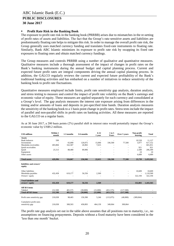#### **Profit Rate Risk in the Banking Book**

The exposure to profit rate risk in the banking book (PRRBB) arises due to mismatches in the re-setting of profit rates of assets and liabilities. The fact that the Group's rate-sensitive assets and liabilities are predominantly floating rate helps to mitigate this risk. In order to manage the overall profit rate risk, the Group generally uses matched currency funding and translates fixed-rate instruments to floating rate. Similarly, Bank ABC Islamic minimizes its exposure to profit rate risk by swapping its fixed rate exposures to floating ones and obtain matched currency fundings.

The Group measures and controls PRRBB using a number of qualitative and quantitative measures. Qualitative measures include a thorough assessment of the impact of changes in profit rates on the Bank's banking instruments during the annual budget and capital planning process. Current and expected future profit rates are integral components driving the annual capital planning process. In addition, the GALCO regularly reviews the current and expected future profitability of the Bank's traditional banking activities and has embarked on a number of initiatives to reduce sensitivity of the banking book to profit rate fluctuations.

Quantitative measures employed include limits, profit rate sensitivity gap analysis, duration analysis, and stress testing to measure and control the impact of profit rate volatility on the Bank's earnings and economic value of equity. These measures are applied separately for each currency and consolidated at a Group's level. The gap analysis measures the interest rate exposure arising from differences in the timing and/or amounts of loans and deposits in pre-specified time bands. Duration analysis measures the sensitivity of the banking book to a 1 basis point change in profit rates. Stress tests include the impact of parallel and non-parallel shifts in profit rates on banking activities. All these measures are reported to the GALCO on a regular basis.

| <b>US\$ millions</b>                       | Within 1<br>month | 1-3 months | 3-6 months | $6 - 12$<br>1 year | 1 to 5<br>Years | Over 5 years | Non-profit<br>bearing    | <b>Total</b>             |  |
|--------------------------------------------|-------------------|------------|------------|--------------------|-----------------|--------------|--------------------------|--------------------------|--|
| <b>Assets</b>                              |                   |            |            |                    |                 |              |                          |                          |  |
| <b>Bank</b> balances                       | 599               | ٠          |            | ٠                  |                 |              | 10,528                   | 11,127                   |  |
| Investments                                | $\sim$            | 65,000     | 120,075    | 15,000             | 336,500         | 77,500       | 3,077                    | 617,152                  |  |
| Murabaha receivables                       | 403,884           | 162,587    | 26,965     | 7,615              |                 |              | $\overline{\phantom{a}}$ | 601,051                  |  |
| Ijarah receivables                         |                   |            |            |                    |                 | ٠            | 921                      | 921                      |  |
| Ijarah                                     | 25,513            | 88,480     | 89,906     |                    | ٠               | ٠            | 2,500                    | 206,399                  |  |
| Equipment                                  |                   |            | ÷,         | ٠                  | ٠               | ٠            | 24                       | 24                       |  |
| Other assets                               |                   |            |            |                    |                 | ÷,           | 6,689                    | 6,689                    |  |
|                                            |                   |            |            |                    |                 |              |                          |                          |  |
| <b>Total assets</b>                        | 429.996           | 316,067    | 236,946    | 22,615             | 336,500         | 77,500       | 23,739                   | 1,433,363                |  |
| liabilities and owners'<br>equity          |                   |            |            |                    |                 |              |                          |                          |  |
| Other liabilities                          |                   |            |            |                    | ٠               | $\sim$       | 10,609                   | 10,609                   |  |
| Murabaha payables                          | 432,458           | 619,177    | 56,556     | 2,369              | ٠               | $\sim$       | $\overline{\phantom{a}}$ | 1,110,560                |  |
| Owners' equity                             |                   |            |            |                    |                 | ٠            | 322,194                  | 322,194                  |  |
|                                            |                   |            |            |                    |                 |              |                          |                          |  |
| <b>Total liabilities and</b>               |                   |            |            |                    |                 |              |                          |                          |  |
| owners' equity                             | 432,458           | 619,177    | 56,556     | 2,369              |                 | ٠            | 332,803                  | 1,443,363                |  |
| Off B/S items                              |                   |            |            |                    |                 |              |                          |                          |  |
| Tabdeel                                    | 212,500           | 401.575    | (30,000)   | (15,000)           | (451, 575)      | (117,500)    | $\overline{\phantom{a}}$ | $\overline{\phantom{a}}$ |  |
| <b>Total off B/S items</b>                 | 212,500           | 401,575    | (30,000)   | (15,000)           | (451, 575)      | (117,500)    | ٠                        |                          |  |
| Profit rates sensitivity gap               | 210,038           | 98,465     | 150,390    | 5,246              | (115,075)       | (40,000)     | (309,064)                |                          |  |
| Cumulative profit rates<br>sensitivity gap | 210,038           | 308,503    | 458.893    | 464,139            | 349,064         | 309,064      |                          |                          |  |

As at 30 June 2017, a 200 basis points (2%) parallel shift in interest rates would potentially impact the Group's economic value by US\$9.2 million.

The profit rate gap analysis set out in the table above assumes that all positions run to maturity, i.e., no assumptions on financing prepayments. Deposits without a fixed maturity have been considered in the 'less than one month' bucket.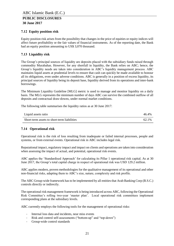#### <span id="page-20-0"></span>**7.12 Equity position risk**

Equity position risk arises from the possibility that changes in the price of equities or equity indices will affect future profitability or the fair values of financial instruments. As of the reporting date, the Bank had an equity position amounting to US\$ 3,070 thousand.

#### <span id="page-20-1"></span>**7.13 Liquidity risk**

The Group's principal sources of liquidity are deposits placed with the subsidiary funds raised through commodity Murabahas. However, for any shortfall in liquidity, the Bank relies on ABC; hence, the Group's liquidity needs are taken into consideration in ABC's liquidity management process. ABC maintains liquid assets at prudential levels to ensure that cash can quickly be made available to honour all its obligations, even under adverse conditions. ABC is generally in a position of excess liquidity, its principal sources of liquidity being its deposit base, liquidity derived from its operations and inter-bank borrowings.

The Minimum Liquidity Guideline [MLG] metric is used to manage and monitor liquidity on a daily basis. The MLG represents the minimum number of days ABC can survive the combined outflow of all deposits and contractual draw-downs, under normal market conditions.

The following table summarises the liquidity ratios as at 30 June 2017:

| Liquid assets ratio                         | 46.4% |
|---------------------------------------------|-------|
| Short-term assets to short-term liabilities | 62.1% |

#### <span id="page-20-2"></span>**7.14 Operational risk**

Operational risk is the risk of loss resulting from inadequate or failed internal processes, people and systems, or from external events. Operational risk in ABC includes legal risk.

Reputational impact, regulatory impact and impact on clients and operations are taken into consideration when assessing the impact of actual, and potential, operational risk events.

ABC applies the 'Standardised Approach' for calculating its Pillar 1 operational risk capital. As at 30 June 2017, the Group's total capital charge in respect of operational risk was USD 129.2 million.

ABC applies modern, proven methodologies for the qualitative management of its operational and other non-financial risks, adapting them to ABC's size, nature, complexity and risk profile.

The ABC Group-wide framework has to be implemented by all entities that Arab Banking Corp (B.S.C.) controls directly or indirectly.

The operational risk management framework is being introduced across ABC, following the Operational Risk Committee's rolling two-year 'master plan'. Local operational risk committees implement corresponding plans at the subsidiary levels.

ABC currently employs the following tools for the management of operational risks:

- Internal loss data and incidents, near miss events
- Risk and control self-assessments ("bottom-up" and "top-down")
- Group-wide control standards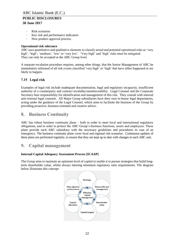- Risk scenarios
- Key risk and performance indicators
- New product approval process.

#### **Operational risk tolerance**

ABC uses quantitative and qualitative elements to classify actual and potential operational risks as 'very high', 'high', 'medium', 'low' or 'very low'. 'Very high' and 'high' risks must be mitigated. They can only be accepted at the ABC Group level.

A separate escalation procedure requires, among other things, that the Senior Management of ABC be immediately informed of all risk events classified 'very high' or 'high' that have either happened or are likely to happen.

#### <span id="page-21-0"></span>**7.15 Legal risk**

Examples of legal risk include inadequate documentation, legal and regulatory incapacity, insufficient authority of a counterparty and contract invalidity/unenforceability. Legal Counsel and the Corporate Secretary bear responsibility for identification and management of this risk. They consult with internal and external legal counsels. All Major Group subsidiaries have their own in-house legal departments, acting under the guidance of the Legal Counsel, which aims to facilitate the business of the Group by providing proactive, business-oriented and creative advice.

# <span id="page-21-1"></span>**8. Business Continuity**

ABC has robust business continuity plans – both in order to meet local and international regulatory obligations, and in order to protect the ABC Group's business functions, assets and employees. These plans provide each ABC subsidiary with the necessary guidelines and procedures in case of an emergency. The business continuity plans cover local and regional risk scenarios. Continuous updates of these plans are performed regularly, to ensure that they are kept up to date with changes in each ABC unit.

# <span id="page-21-2"></span>**9. Capital management**

#### **Internal Capital Adequacy Assessment Process [ICAAP]**

The Group aims to maintain an optimum level of capital to enable it to pursue strategies that build longterm shareholder value, whilst always meeting minimum regulatory ratio requirements. The diagram below illustrates this concept:

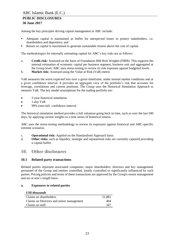Among the key principles driving capital management at ABC include:

- Adequate capital is maintained as buffer for unexpected losses to protect stakeholders, i.e. shareholders and depositors; and
- Return on capital is maximised to generate sustainable returns above the cost of capital.

The methodologies for internally estimating capital for ABC's key risks are as follows:

- a. **Credit risk:** Assessed on the basis of Foundation IRB Risk Weights (FIRB). This supports the internal estimation of economic capital per business segment, business unit and aggregated at the Group level. ABC uses stress-testing to review its risk exposure against budgeted levels.
- b. **Market risk:** Assessed using the Value at Risk (VaR) metric

VaR measures the worst expected loss over a given timeframe, under normal market conditions and at a given confidence interval. It provides an aggregate view of the portfolio's risk that accounts for leverage, correlations and current positions. The Group uses the Historical Simulation Approach to measure VaR. The key model assumptions for the trading portfolio are:

- 2-year historical simulation
- 1-day VaR
- 99% (one tail) confidence interval

The historical simulation method provides a full valuation going back in time, such as over the last 500 days, by applying current weights to a time series of historical returns.

ABC uses the stress-testing methodology to review its exposures against historical and ABC-specific extreme scenarios.

- c. **Operational risk:** Applied on the Standardised Approach basis.
- d. **Other risks:** such as liquidity, strategic and reputational risks are currently captured providing a capital buffer.

# <span id="page-22-0"></span>**10. Other disclosures**

#### <span id="page-22-1"></span>**10.1 Related party transactions**

Related parties represent associated companies, major shareholders, directors and key management personnel of the Group and entities controlled, jointly controlled or significantly influenced by such parties. Pricing policies and terms of these transactions are approved by the Group's senior management and are at arm's length basis.

#### **a. Exposures to related parties**

#### *US\$ thousands*

| Claims on shareholders                    | 51.881 |
|-------------------------------------------|--------|
| Claims on Directors and senior management | 404    |
| Claims on staff                           | 347    |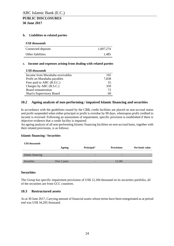#### **b. Liabilities to related parties**

#### *US\$ thousands*

| Connected deposits | 1,007,274 |
|--------------------|-----------|
| Other liabilities  | 1.485     |

#### **c. Income and expenses arising from dealing with related parties**

| <b>US\$</b> thousands            |       |
|----------------------------------|-------|
| Income from Murabaha receivables | 192   |
| Profit on Murabaha payables      | 7,838 |
| Fees paid to ABC (B.S.C.)        | 55    |
| Charges by ABC (B.S.C.)          | 350   |
| Board remuneration               | 72    |
| Shari'a Supervisory Board        | 60    |

#### <span id="page-23-0"></span>**10.2 Ageing analysis of non-performing / impaired Islamic financing and securities**

In accordance with the guidelines issued by the CBB, credit facilities are placed on non-accrual status and profit suspended when either principal or profit is overdue by 90 days, whereupon profit credited to income is reversed. Following an assessment of impairment, specific provision is established if there is objective evidence that a credit facility is impaired.

An ageing analysis of all non-performing Islamic financing facilities on non-accrual basis, together with their related provisions, is as follows:

#### **Islamic financing / Securities**

| <b>US\$</b> thousands |                          |            |                          |                |
|-----------------------|--------------------------|------------|--------------------------|----------------|
|                       | Ageing                   | Principal* | <b>Provisions</b>        | Net book value |
|                       |                          |            |                          |                |
| Islamic financing     | $\overline{\phantom{0}}$ | -          | $\overline{\phantom{0}}$ |                |
|                       |                          |            |                          |                |
| Securities            | Over 3 years             |            | 12,184                   |                |
|                       |                          |            |                          |                |

#### **Securities**

The Group has specific impairment provisions of US\$ 12,184 thousand on its securities portfolio, all of the securities are from GCC countries.

#### <span id="page-23-1"></span>**10.3 Restructured assets**

As at 30 June 2017, Carrying amount of financial assets whose terms have been renegotiated as at period end was US\$ 34,205 thousand.